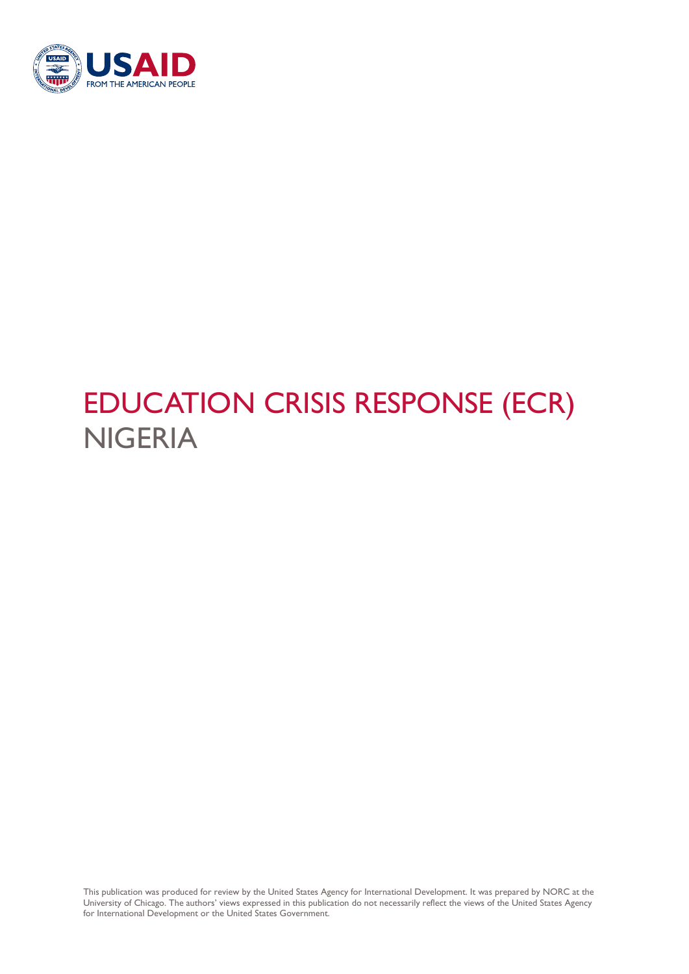

# EDUCATION CRISIS RESPONSE (ECR) NIGERIA

This publication was produced for review by the United States Agency for International Development. It was prepared by NORC at the University of Chicago. The authors' views expressed in this publication do not necessarily reflect the views of the United States Agency for International Development or the United States Government.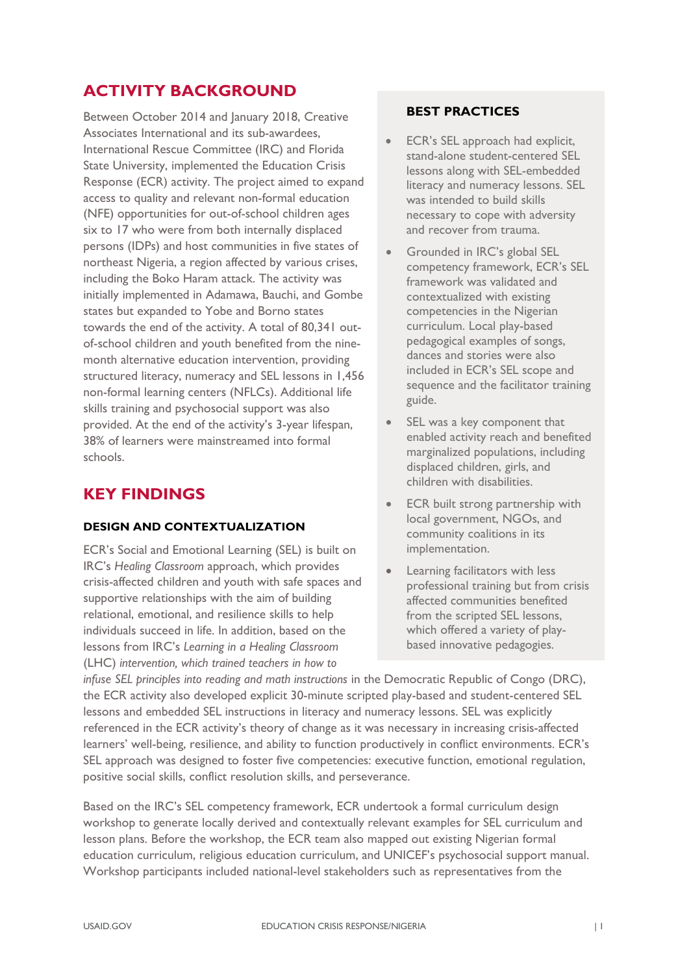## **ACTIVITY BACKGROUND**

Between October 2014 and January 2018, Creative Associates International and its sub-awardees, International Rescue Committee (IRC) and Florida State University, implemented the Education Crisis Response (ECR) activity. The project aimed to expand access to quality and relevant non-formal education (NFE) opportunities for out-of-school children ages six to 17 who were from both internally displaced persons (IDPs) and host communities in five states of northeast Nigeria, a region affected by various crises, including the Boko Haram attack. The activity was initially implemented in Adamawa, Bauchi, and Gombe states but expanded to Yobe and Borno states towards the end of the activity. A total of 80,341 outof-school children and youth benefited from the ninemonth alternative education intervention, providing structured literacy, numeracy and SEL lessons in 1,456 non-formal learning centers (NFLCs). Additional life skills training and psychosocial support was also provided. At the end of the activity's 3-year lifespan, 38% of learners were mainstreamed into formal schools.

# **KEY FINDINGS**

#### **DESIGN AND CONTEXTUALIZATION**

ECR's Social and Emotional Learning (SEL) is built on IRC's *Healing Classroom* approach, which provides crisis-affected children and youth with safe spaces and supportive relationships with the aim of building relational, emotional, and resilience skills to help individuals succeed in life. In addition, based on the lessons from IRC's *Learning in a Healing Classroom* (LHC) *intervention, which trained teachers in how to* 

#### **BEST PRACTICES**

- ECR's SEL approach had explicit, stand-alone student-centered SEL lessons along with SEL-embedded literacy and numeracy lessons. SEL was intended to build skills necessary to cope with adversity and recover from trauma.
- Grounded in IRC's global SEL competency framework, ECR's SEL framework was validated and contextualized with existing competencies in the Nigerian curriculum. Local play-based pedagogical examples of songs, dances and stories were also included in ECR's SEL scope and sequence and the facilitator training guide.
- SEL was a key component that enabled activity reach and benefited marginalized populations, including displaced children, girls, and children with disabilities.
- **ECR** built strong partnership with local government, NGOs, and community coalitions in its implementation.
- Learning facilitators with less professional training but from crisis affected communities benefited from the scripted SEL lessons, which offered a variety of playbased innovative pedagogies.

*infuse SEL principles into reading and math instructions in the Democratic Republic of Congo (DRC),* the ECR activity also developed explicit 30-minute scripted play-based and student-centered SEL lessons and embedded SEL instructions in literacy and numeracy lessons. SEL was explicitly referenced in the ECR activity's theory of change as it was necessary in increasing crisis-affected learners' well-being, resilience, and ability to function productively in conflict environments. ECR's SEL approach was designed to foster five competencies: executive function, emotional regulation, positive social skills, conflict resolution skills, and perseverance.

Based on the IRC's SEL competency framework, ECR undertook a formal curriculum design workshop to generate locally derived and contextually relevant examples for SEL curriculum and lesson plans. Before the workshop, the ECR team also mapped out existing Nigerian formal education curriculum, religious education curriculum, and UNICEF's psychosocial support manual. Workshop participants included national-level stakeholders such as representatives from the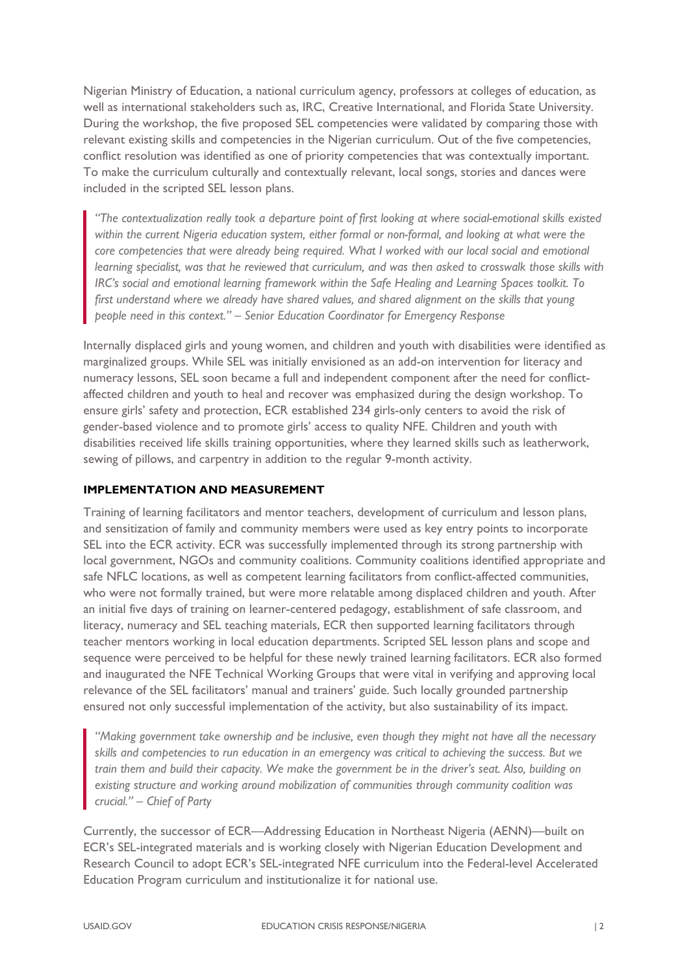Nigerian Ministry of Education, a national curriculum agency, professors at colleges of education, as well as international stakeholders such as, IRC, Creative International, and Florida State University. During the workshop, the five proposed SEL competencies were validated by comparing those with relevant existing skills and competencies in the Nigerian curriculum. Out of the five competencies, conflict resolution was identified as one of priority competencies that was contextually important. To make the curriculum culturally and contextually relevant, local songs, stories and dances were included in the scripted SEL lesson plans.

*"The contextualization really took a departure point of first looking at where social-emotional skills existed within the current Nigeria education system, either formal or non-formal, and looking at what were the core competencies that were already being required. What I worked with our local social and emotional learning specialist, was that he reviewed that curriculum, and was then asked to crosswalk those skills with IRC's social and emotional learning framework within the Safe Healing and Learning Spaces toolkit. To first understand where we already have shared values, and shared alignment on the skills that young people need in this context." – Senior Education Coordinator for Emergency Response*

Internally displaced girls and young women, and children and youth with disabilities were identified as marginalized groups. While SEL was initially envisioned as an add-on intervention for literacy and numeracy lessons, SEL soon became a full and independent component after the need for conflictaffected children and youth to heal and recover was emphasized during the design workshop. To ensure girls' safety and protection, ECR established 234 girls-only centers to avoid the risk of gender-based violence and to promote girls' access to quality NFE. Children and youth with disabilities received life skills training opportunities, where they learned skills such as leatherwork, sewing of pillows, and carpentry in addition to the regular 9-month activity.

#### **IMPLEMENTATION AND MEASUREMENT**

Training of learning facilitators and mentor teachers, development of curriculum and lesson plans, and sensitization of family and community members were used as key entry points to incorporate SEL into the ECR activity. ECR was successfully implemented through its strong partnership with local government, NGOs and community coalitions. Community coalitions identified appropriate and safe NFLC locations, as well as competent learning facilitators from conflict-affected communities, who were not formally trained, but were more relatable among displaced children and youth. After an initial five days of training on learner-centered pedagogy, establishment of safe classroom, and literacy, numeracy and SEL teaching materials, ECR then supported learning facilitators through teacher mentors working in local education departments. Scripted SEL lesson plans and scope and sequence were perceived to be helpful for these newly trained learning facilitators. ECR also formed and inaugurated the NFE Technical Working Groups that were vital in verifying and approving local relevance of the SEL facilitators' manual and trainers' guide. Such locally grounded partnership ensured not only successful implementation of the activity, but also sustainability of its impact.

*"Making government take ownership and be inclusive, even though they might not have all the necessary skills and competencies to run education in an emergency was critical to achieving the success. But we train them and build their capacity. We make the government be in the driver's seat. Also, building on existing structure and working around mobilization of communities through community coalition was crucial." – Chief of Party*

Currently, the successor of ECR—Addressing Education in Northeast Nigeria (AENN)—built on ECR's SEL-integrated materials and is working closely with Nigerian Education Development and Research Council to adopt ECR's SEL-integrated NFE curriculum into the Federal-level Accelerated Education Program curriculum and institutionalize it for national use.